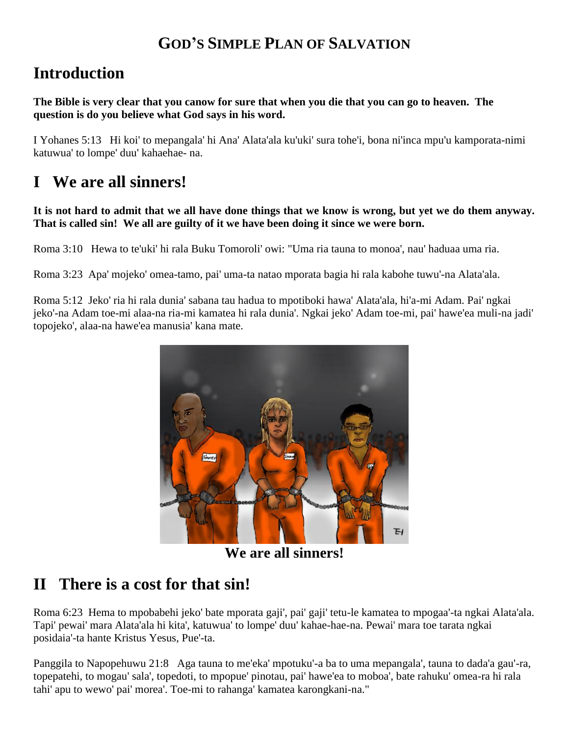#### **GOD'S SIMPLE PLAN OF SALVATION**

### **Introduction**

**The Bible is very clear that you canow for sure that when you die that you can go to heaven. The question is do you believe what God says in his word.**

I Yohanes 5:13 Hi koi' to mepangala' hi Ana' Alata'ala ku'uki' sura tohe'i, bona ni'inca mpu'u kamporata-nimi katuwua' to lompe' duu' kahaehae- na.

## **I We are all sinners!**

#### **It is not hard to admit that we all have done things that we know is wrong, but yet we do them anyway. That is called sin! We all are guilty of it we have been doing it since we were born.**

Roma 3:10 Hewa to te'uki' hi rala Buku Tomoroli' owi: "Uma ria tauna to monoa', nau' haduaa uma ria.

Roma 3:23 Apa' mojeko' omea-tamo, pai' uma-ta natao mporata bagia hi rala kabohe tuwu'-na Alata'ala.

Roma 5:12 Jeko' ria hi rala dunia' sabana tau hadua to mpotiboki hawa' Alata'ala, hi'a-mi Adam. Pai' ngkai jeko'-na Adam toe-mi alaa-na ria-mi kamatea hi rala dunia'. Ngkai jeko' Adam toe-mi, pai' hawe'ea muli-na jadi' topojeko', alaa-na hawe'ea manusia' kana mate.



**We are all sinners!**

#### **II There is a cost for that sin!**

Roma 6:23 Hema to mpobabehi jeko' bate mporata gaji', pai' gaji' tetu-le kamatea to mpogaa'-ta ngkai Alata'ala. Tapi' pewai' mara Alata'ala hi kita', katuwua' to lompe' duu' kahae-hae-na. Pewai' mara toe tarata ngkai posidaia'-ta hante Kristus Yesus, Pue'-ta.

Panggila to Napopehuwu 21:8 Aga tauna to me'eka' mpotuku'-a ba to uma mepangala', tauna to dada'a gau'-ra, topepatehi, to mogau' sala', topedoti, to mpopue' pinotau, pai' hawe'ea to moboa', bate rahuku' omea-ra hi rala tahi' apu to wewo' pai' morea'. Toe-mi to rahanga' kamatea karongkani-na."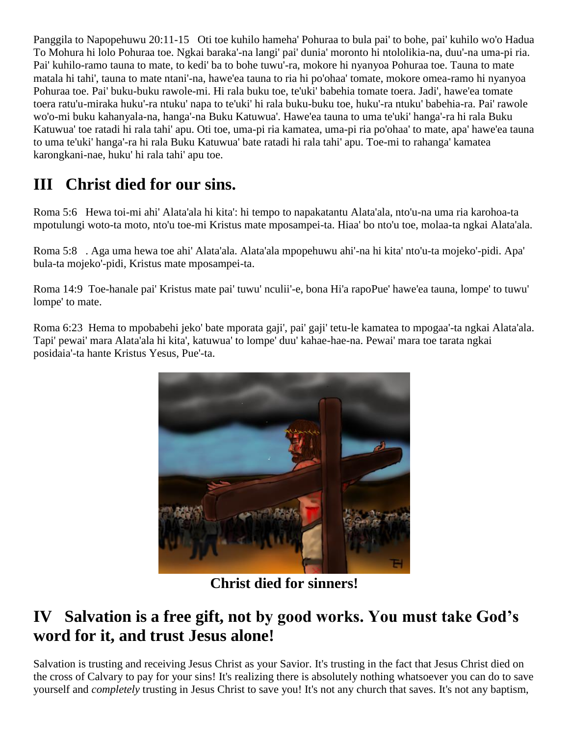Panggila to Napopehuwu 20:11-15 Oti toe kuhilo hameha' Pohuraa to bula pai' to bohe, pai' kuhilo wo'o Hadua To Mohura hi lolo Pohuraa toe. Ngkai baraka'-na langi' pai' dunia' moronto hi ntololikia-na, duu'-na uma-pi ria. Pai' kuhilo-ramo tauna to mate, to kedi' ba to bohe tuwu'-ra, mokore hi nyanyoa Pohuraa toe. Tauna to mate matala hi tahi', tauna to mate ntani'-na, hawe'ea tauna to ria hi po'ohaa' tomate, mokore omea-ramo hi nyanyoa Pohuraa toe. Pai' buku-buku rawole-mi. Hi rala buku toe, te'uki' babehia tomate toera. Jadi', hawe'ea tomate toera ratu'u-miraka huku'-ra ntuku' napa to te'uki' hi rala buku-buku toe, huku'-ra ntuku' babehia-ra. Pai' rawole wo'o-mi buku kahanyala-na, hanga'-na Buku Katuwua'. Hawe'ea tauna to uma te'uki' hanga'-ra hi rala Buku Katuwua' toe ratadi hi rala tahi' apu. Oti toe, uma-pi ria kamatea, uma-pi ria po'ohaa' to mate, apa' hawe'ea tauna to uma te'uki' hanga'-ra hi rala Buku Katuwua' bate ratadi hi rala tahi' apu. Toe-mi to rahanga' kamatea karongkani-nae, huku' hi rala tahi' apu toe.

# **III Christ died for our sins.**

Roma 5:6 Hewa toi-mi ahi' Alata'ala hi kita': hi tempo to napakatantu Alata'ala, nto'u-na uma ria karohoa-ta mpotulungi woto-ta moto, nto'u toe-mi Kristus mate mposampei-ta. Hiaa' bo nto'u toe, molaa-ta ngkai Alata'ala.

Roma 5:8 . Aga uma hewa toe ahi' Alata'ala. Alata'ala mpopehuwu ahi'-na hi kita' nto'u-ta mojeko'-pidi. Apa' bula-ta mojeko'-pidi, Kristus mate mposampei-ta.

Roma 14:9 Toe-hanale pai' Kristus mate pai' tuwu' nculii'-e, bona Hi'a rapoPue' hawe'ea tauna, lompe' to tuwu' lompe' to mate.

Roma 6:23 Hema to mpobabehi jeko' bate mporata gaji', pai' gaji' tetu-le kamatea to mpogaa'-ta ngkai Alata'ala. Tapi' pewai' mara Alata'ala hi kita', katuwua' to lompe' duu' kahae-hae-na. Pewai' mara toe tarata ngkai posidaia'-ta hante Kristus Yesus, Pue'-ta.



**Christ died for sinners!**

### **IV Salvation is a free gift, not by good works. You must take God's word for it, and trust Jesus alone!**

Salvation is trusting and receiving Jesus Christ as your Savior. It's trusting in the fact that Jesus Christ died on the cross of Calvary to pay for your sins! It's realizing there is absolutely nothing whatsoever you can do to save yourself and *completely* trusting in Jesus Christ to save you! It's not any church that saves. It's not any baptism,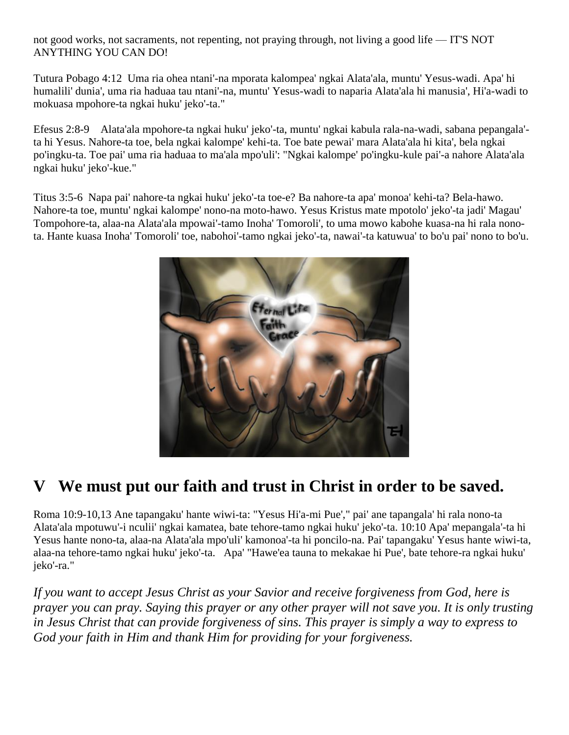not good works, not sacraments, not repenting, not praying through, not living a good life — IT'S NOT ANYTHING YOU CAN DO!

Tutura Pobago 4:12 Uma ria ohea ntani'-na mporata kalompea' ngkai Alata'ala, muntu' Yesus-wadi. Apa' hi humalili' dunia', uma ria haduaa tau ntani'-na, muntu' Yesus-wadi to naparia Alata'ala hi manusia', Hi'a-wadi to mokuasa mpohore-ta ngkai huku' jeko'-ta."

Efesus 2:8-9 Alata'ala mpohore-ta ngkai huku' jeko'-ta, muntu' ngkai kabula rala-na-wadi, sabana pepangala' ta hi Yesus. Nahore-ta toe, bela ngkai kalompe' kehi-ta. Toe bate pewai' mara Alata'ala hi kita', bela ngkai po'ingku-ta. Toe pai' uma ria haduaa to ma'ala mpo'uli': "Ngkai kalompe' po'ingku-kule pai'-a nahore Alata'ala ngkai huku' jeko'-kue."

Titus 3:5-6 Napa pai' nahore-ta ngkai huku' jeko'-ta toe-e? Ba nahore-ta apa' monoa' kehi-ta? Bela-hawo. Nahore-ta toe, muntu' ngkai kalompe' nono-na moto-hawo. Yesus Kristus mate mpotolo' jeko'-ta jadi' Magau' Tompohore-ta, alaa-na Alata'ala mpowai'-tamo Inoha' Tomoroli', to uma mowo kabohe kuasa-na hi rala nonota. Hante kuasa Inoha' Tomoroli' toe, nabohoi'-tamo ngkai jeko'-ta, nawai'-ta katuwua' to bo'u pai' nono to bo'u.



## **V We must put our faith and trust in Christ in order to be saved.**

Roma 10:9-10,13 Ane tapangaku' hante wiwi-ta: "Yesus Hi'a-mi Pue'," pai' ane tapangala' hi rala nono-ta Alata'ala mpotuwu'-i nculii' ngkai kamatea, bate tehore-tamo ngkai huku' jeko'-ta. 10:10 Apa' mepangala'-ta hi Yesus hante nono-ta, alaa-na Alata'ala mpo'uli' kamonoa'-ta hi poncilo-na. Pai' tapangaku' Yesus hante wiwi-ta, alaa-na tehore-tamo ngkai huku' jeko'-ta. Apa' "Hawe'ea tauna to mekakae hi Pue', bate tehore-ra ngkai huku' jeko'-ra."

*If you want to accept Jesus Christ as your Savior and receive forgiveness from God, here is prayer you can pray. Saying this prayer or any other prayer will not save you. It is only trusting in Jesus Christ that can provide forgiveness of sins. This prayer is simply a way to express to God your faith in Him and thank Him for providing for your forgiveness.*